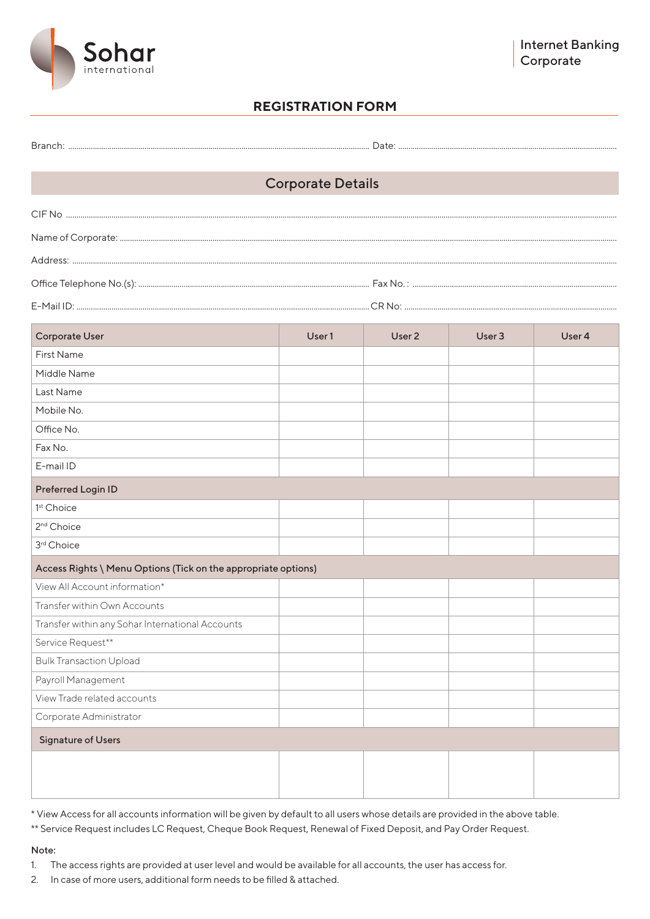

### **REGISTRATION FORM**

| <b>Corporate Details</b>                                       |        |        |        |        |
|----------------------------------------------------------------|--------|--------|--------|--------|
|                                                                |        |        |        |        |
|                                                                |        |        |        |        |
|                                                                |        |        |        |        |
|                                                                |        |        |        |        |
|                                                                |        |        |        |        |
|                                                                |        |        |        |        |
| <b>Corporate User</b>                                          | User 1 | User 2 | User 3 | User 4 |
| <b>First Name</b>                                              |        |        |        |        |
| Middle Name                                                    |        |        |        |        |
| Last Name                                                      |        |        |        |        |
| Mobile No.                                                     |        |        |        |        |
| Office No.                                                     |        |        |        |        |
| Fax No.                                                        |        |        |        |        |
| E-mail ID                                                      |        |        |        |        |
| <b>Preferred Login ID</b>                                      |        |        |        |        |
| 1 <sup>st</sup> Choice                                         |        |        |        |        |
| 2 <sup>nd</sup> Choice                                         |        |        |        |        |
| 3rd Choice                                                     |        |        |        |        |
| Access Rights \ Menu Options (Tick on the appropriate options) |        |        |        |        |
| View All Account information*                                  |        |        |        |        |
| Transfer within Own Accounts                                   |        |        |        |        |
| Transfer within any Sohar International Accounts               |        |        |        |        |
| Service Request**                                              |        |        |        |        |
| <b>Bulk Transaction Upload</b>                                 |        |        |        |        |
| Payroll Management                                             |        |        |        |        |
| View Trade related accounts                                    |        |        |        |        |
| Corporate Administrator                                        |        |        |        |        |
| <b>Signature of Users</b>                                      |        |        |        |        |
|                                                                |        |        |        |        |
|                                                                |        |        |        |        |
|                                                                |        |        |        |        |

\* View Access for all accounts information will be given by default to all users whose details are provided in the above table.

\*\* Service Request includes LC Request, Cheque Book Request, Renewal of Fixed Deposit, and Pay Order Request.

#### Note:

1. The access rights are provided at user level and would be available for all accounts, the user has access for.

2. In case of more users, additional form needs to be filled & attached.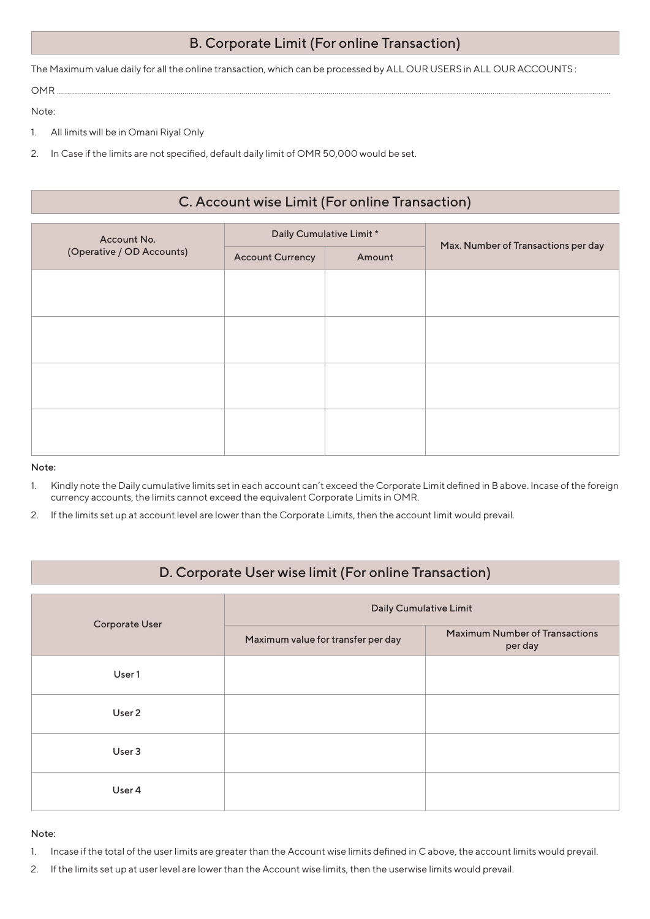## B. Corporate Limit (For online Transaction)

The Maximum value daily for all the online transaction, which can be processed by ALL OUR USERS in ALL OUR ACCOUNTS :

OMR ..........……….........…….......…...................…………..........…...................…………...................………..........………........…….......…...................................................................................

Note:

- 1. All limits will be in Omani Riyal Only
- 2. In Case if the limits are not specified, default daily limit of OMR 50,000 would be set.

# C. Account wise Limit (For online Transaction)

| Account No.<br>(Operative / OD Accounts) | Daily Cumulative Limit * |        |                                     |
|------------------------------------------|--------------------------|--------|-------------------------------------|
|                                          | <b>Account Currency</b>  | Amount | Max. Number of Transactions per day |
|                                          |                          |        |                                     |
|                                          |                          |        |                                     |
|                                          |                          |        |                                     |
|                                          |                          |        |                                     |
|                                          |                          |        |                                     |
|                                          |                          |        |                                     |
|                                          |                          |        |                                     |
|                                          |                          |        |                                     |

#### Note:

- 1. Kindly note the Daily cumulative limits set in each account can't exceed the Corporate Limit defined in B above. Incase of the foreign currency accounts, the limits cannot exceed the equivalent Corporate Limits in OMR.
- 2. If the limits set up at account level are lower than the Corporate Limits, then the account limit would prevail.

## D. Corporate User wise limit (For online Transaction)

|                | <b>Daily Cumulative Limit</b>      |                                                  |  |  |
|----------------|------------------------------------|--------------------------------------------------|--|--|
| Corporate User | Maximum value for transfer per day | <b>Maximum Number of Transactions</b><br>per day |  |  |
| User 1         |                                    |                                                  |  |  |
| User 2         |                                    |                                                  |  |  |
| User 3         |                                    |                                                  |  |  |
| User 4         |                                    |                                                  |  |  |

#### Note:

- 1. Incase if the total of the user limits are greater than the Account wise limits defined in C above, the account limits would prevail.
- 2. If the limits set up at user level are lower than the Account wise limits, then the userwise limits would prevail.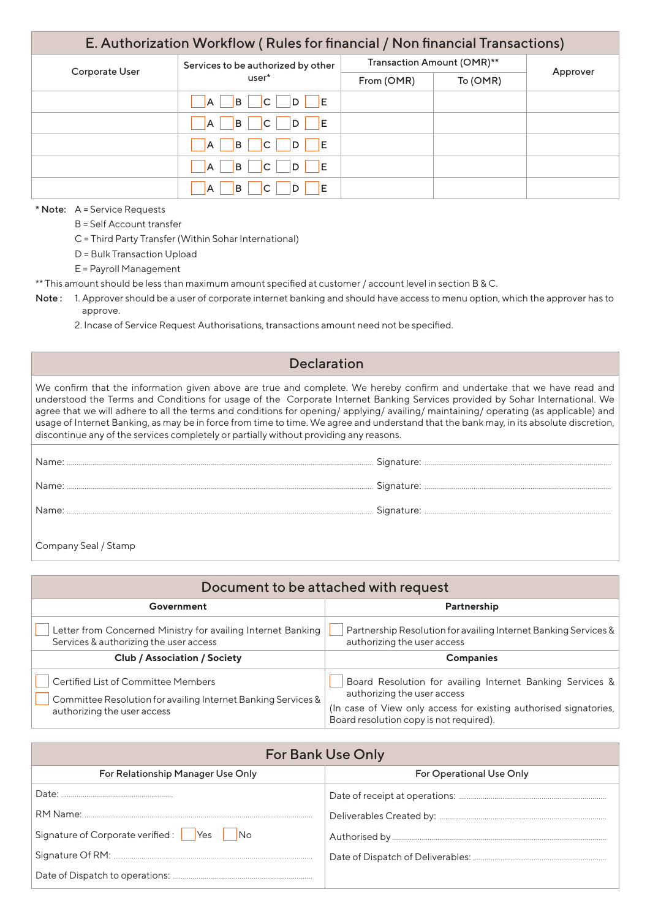| E. Authorization Workflow (Rules for financial / Non financial Transactions) |                                                              |                            |  |          |
|------------------------------------------------------------------------------|--------------------------------------------------------------|----------------------------|--|----------|
| Services to be authorized by other<br>Corporate User<br>user*                |                                                              | Transaction Amount (OMR)** |  | Approver |
|                                                                              | From (OMR)                                                   | To (OMR)                   |  |          |
|                                                                              | B<br>$\overline{C}$<br>D E<br>A                              |                            |  |          |
|                                                                              | $\overline{C}$<br>$ D $ $ E $<br><b>B</b><br>A               |                            |  |          |
|                                                                              | <b>B</b><br>l IE<br> C <br> D <br>IA.                        |                            |  |          |
|                                                                              | <b>B</b><br>- IE<br>C.<br>$\blacksquare$ $\blacksquare$<br>A |                            |  |          |
|                                                                              | B<br>C<br>ΙE<br>A                                            |                            |  |          |

\* Note: A = Service Requests

B = Self Account transfer

C = Third Party Transfer (Within Sohar International)

D = Bulk Transaction Upload

E = Payroll Management

\*\* This amount should be less than maximum amount specified at customer / account level in section B & C.

- Note: 1. Approver should be a user of corporate internet banking and should have access to menu option, which the approver has to approve.
	- 2. Incase of Service Request Authorisations, transactions amount need not be specified.

### Declaration

We confirm that the information given above are true and complete. We hereby confirm and undertake that we have read and understood the Terms and Conditions for usage of the Corporate Internet Banking Services provided by Sohar International. We agree that we will adhere to all the terms and conditions for opening/ applying/ availing/ maintaining/ operating (as applicable) and usage of Internet Banking, as may be in force from time to time. We agree and understand that the bank may, in its absolute discretion, discontinue any of the services completely or partially without providing any reasons.

| Name: |  |
|-------|--|
| Name: |  |
|       |  |
|       |  |

Company Seal / Stamp

| Document to be attached with request                                                                   |                                                                                                |  |  |
|--------------------------------------------------------------------------------------------------------|------------------------------------------------------------------------------------------------|--|--|
| Government                                                                                             | Partnership                                                                                    |  |  |
| Letter from Concerned Ministry for availing Internet Banking<br>Services & authorizing the user access | Partnership Resolution for availing Internet Banking Services &<br>authorizing the user access |  |  |
| <b>Club / Association / Society</b>                                                                    | <b>Companies</b>                                                                               |  |  |
|                                                                                                        |                                                                                                |  |  |

| <b>For Bank Use Only</b>                          |                                 |  |
|---------------------------------------------------|---------------------------------|--|
| For Relationship Manager Use Only                 | <b>For Operational Use Only</b> |  |
|                                                   |                                 |  |
|                                                   |                                 |  |
| Signature of Corporate verified: Yes<br><b>No</b> |                                 |  |
|                                                   |                                 |  |
|                                                   |                                 |  |